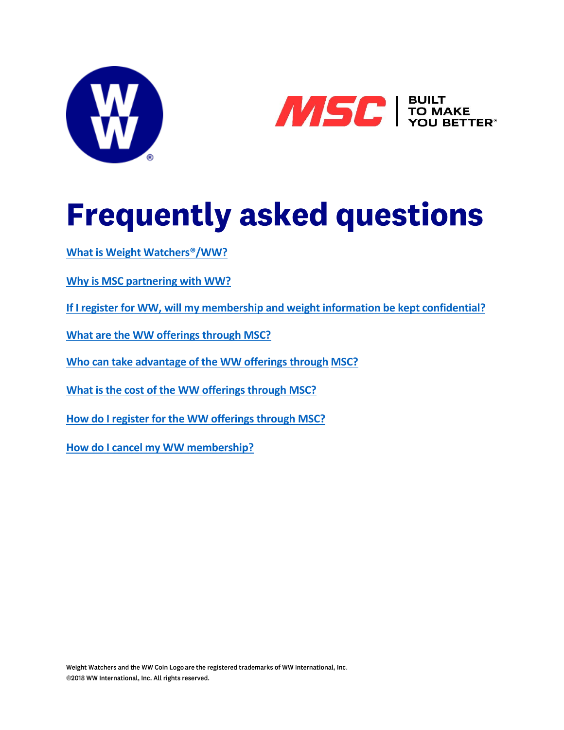



# **Frequently asked questions**

**[What is Weight Watchers®/WW?](#page-0-0)**

**Why is MSC [partnering with WW?](#page-1-0)**

**[If I register for WW, will my membership and weight information be kept confidential?](#page-1-1)**

**What are the WW offerings [through MSC?](#page-1-2)**

**[Who can take advantage of the WW offerings](#page-2-0) through MSC?**

**[What is the cost of the WW offerings](#page-2-1) through MSC?**

**[How do I register for the WW offerings](#page-2-2) through MSC?**

<span id="page-0-0"></span>**[How do I cancel my WW membership?](#page-3-0)**

Weight Watchers and the WW Coin Logo are the registered trademarks of WW International, Inc. ©2018 WW International, Inc. All rights reserved.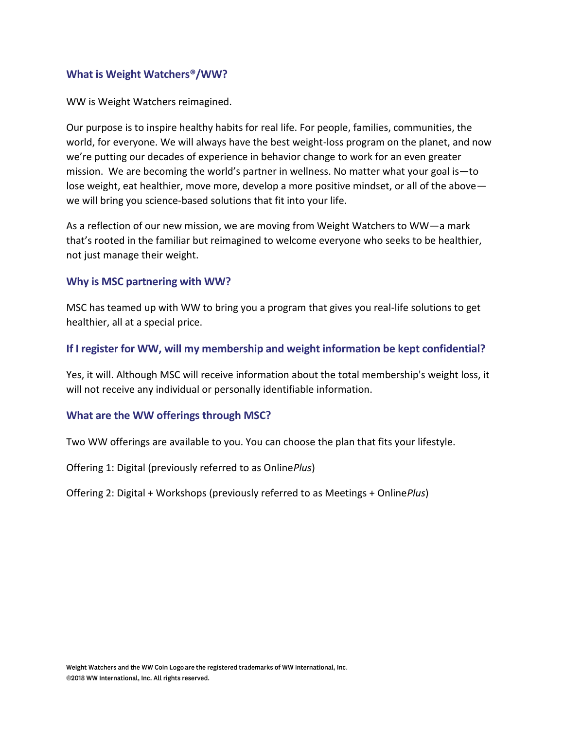#### **What is Weight Watchers®/WW?**

WW is Weight Watchers reimagined.

Our purpose is to inspire healthy habits for real life. For people, families, communities, the world, for everyone. We will always have the best weight-loss program on the planet, and now we're putting our decades of experience in behavior change to work for an even greater mission. We are becoming the world's partner in wellness. No matter what your goal is—to lose weight, eat healthier, move more, develop a more positive mindset, or all of the above we will bring you science-based solutions that fit into your life.

As a reflection of our new mission, we are moving from Weight Watchers to WW—a mark that's rooted in the familiar but reimagined to welcome everyone who seeks to be healthier, not just manage their weight.

### <span id="page-1-0"></span>**Why is MSC partnering with WW?**

MSC has teamed up with WW to bring you a program that gives you real-life solutions to get healthier, all at a special price.

## <span id="page-1-1"></span>**If I register for WW, will my membership and weight information be kept confidential?**

Yes, it will. Although MSC will receive information about the total membership's weight loss, it will not receive any individual or personally identifiable information.

#### <span id="page-1-2"></span>**What are the WW offerings through MSC?**

Two WW offerings are available to you. You can choose the plan that fits your lifestyle.

Offering 1: Digital (previously referred to as Online*Plus*)

Offering 2: Digital + Workshops (previously referred to as Meetings + Online*Plus*)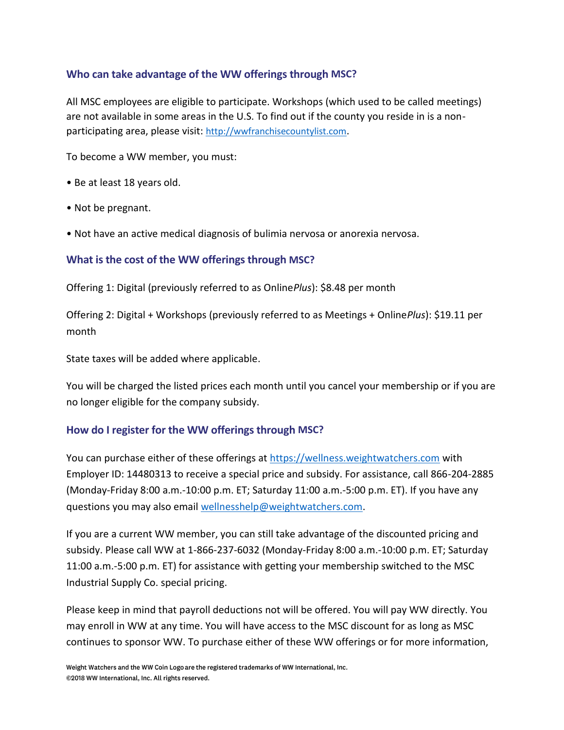# <span id="page-2-0"></span>**Who can take advantage of the WW offerings through MSC?**

All MSC employees are eligible to participate. Workshops (which used to be called meetings) are not available in some areas in the U.S. To find out if the county you reside in is a nonparticipating area, please visit: [http://wwfranchisecountylist.com](http://wwfranchisecountylist.com/).

To become a WW member, you must:

- Be at least 18 years old.
- Not be pregnant.
- Not have an active medical diagnosis of bulimia nervosa or anorexia nervosa.

## <span id="page-2-1"></span>**What is the cost of the WW offerings through MSC?**

Offering 1: Digital (previously referred to as Online*Plus*): \$8.48 per month

Offering 2: Digital + Workshops (previously referred to as Meetings + Online*Plus*): \$19.11 per month

State taxes will be added where applicable.

You will be charged the listed prices each month until you cancel your membership or if you are no longer eligible for the company subsidy.

## <span id="page-2-2"></span>**How do I register for the WW offerings through MSC?**

You can purchase either of these offerings at [https://wellness.weightwatchers.com](https://wellness.weightwatchers.com/) with Employer ID: 14480313 to receive a special price and subsidy. For assistance, call 866-204-2885 (Monday-Friday 8:00 a.m.-10:00 p.m. ET; Saturday 11:00 a.m.-5:00 p.m. ET). If you have any questions you may also email [wellnesshelp@weightwatchers.com.](mailto:wellnesshelp@weightwatchers.com)

If you are a current WW member, you can still take advantage of the discounted pricing and subsidy. Please call WW at 1-866-237-6032 (Monday-Friday 8:00 a.m.-10:00 p.m. ET; Saturday 11:00 a.m.-5:00 p.m. ET) for assistance with getting your membership switched to the MSC Industrial Supply Co. special pricing.

Please keep in mind that payroll deductions not will be offered. You will pay WW directly. You may enroll in WW at any time. You will have access to the MSC discount for as long as MSC continues to sponsor WW. To purchase either of these WW offerings or for more information,